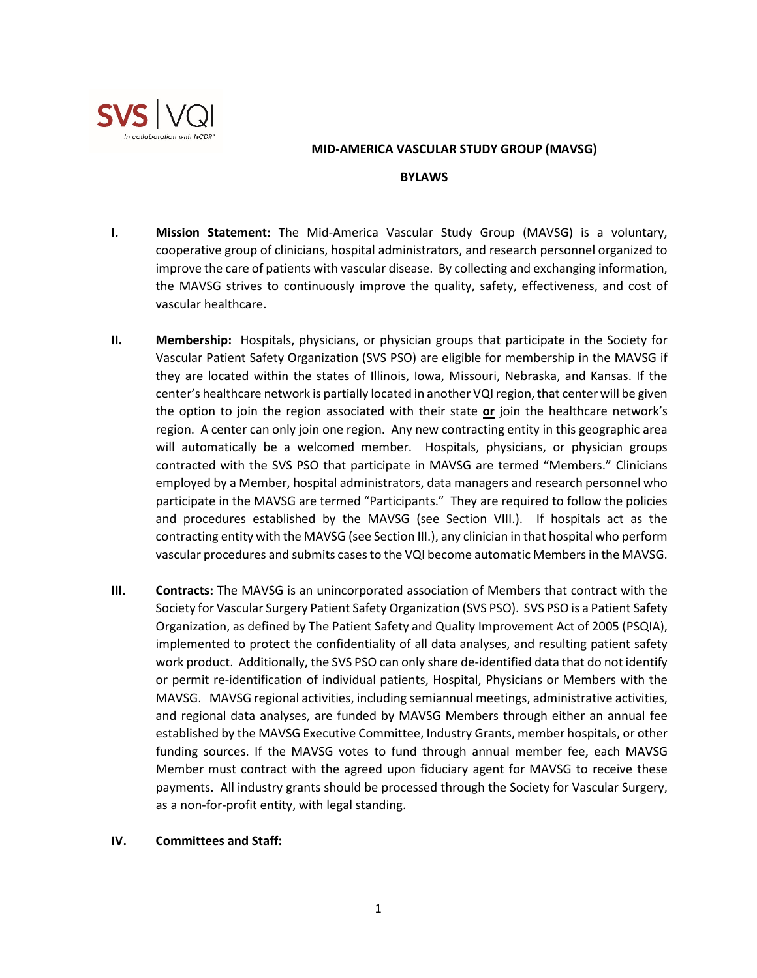

### **MID-AMERICA VASCULAR STUDY GROUP (MAVSG)**

#### **BYLAWS**

- **I. Mission Statement:** The Mid-America Vascular Study Group (MAVSG) is a voluntary, cooperative group of clinicians, hospital administrators, and research personnel organized to improve the care of patients with vascular disease. By collecting and exchanging information, the MAVSG strives to continuously improve the quality, safety, effectiveness, and cost of vascular healthcare.
- **II. Membership:** Hospitals, physicians, or physician groups that participate in the Society for Vascular Patient Safety Organization (SVS PSO) are eligible for membership in the MAVSG if they are located within the states of Illinois, Iowa, Missouri, Nebraska, and Kansas. If the center's healthcare network is partially located in another VQI region, that center will be given the option to join the region associated with their state **or** join the healthcare network's region. A center can only join one region. Any new contracting entity in this geographic area will automatically be a welcomed member. Hospitals, physicians, or physician groups contracted with the SVS PSO that participate in MAVSG are termed "Members." Clinicians employed by a Member, hospital administrators, data managers and research personnel who participate in the MAVSG are termed "Participants." They are required to follow the policies and procedures established by the MAVSG (see Section VIII.). If hospitals act as the contracting entity with the MAVSG (see Section III.), any clinician in that hospital who perform vascular procedures and submits cases to the VQI become automatic Members in the MAVSG.
- **III. Contracts:** The MAVSG is an unincorporated association of Members that contract with the Society for Vascular Surgery Patient Safety Organization (SVS PSO). SVS PSO is a Patient Safety Organization, as defined by The Patient Safety and Quality Improvement Act of 2005 (PSQIA), implemented to protect the confidentiality of all data analyses, and resulting patient safety work product. Additionally, the SVS PSO can only share de-identified data that do not identify or permit re-identification of individual patients, Hospital, Physicians or Members with the MAVSG. MAVSG regional activities, including semiannual meetings, administrative activities, and regional data analyses, are funded by MAVSG Members through either an annual fee established by the MAVSG Executive Committee, Industry Grants, member hospitals, or other funding sources. If the MAVSG votes to fund through annual member fee, each MAVSG Member must contract with the agreed upon fiduciary agent for MAVSG to receive these payments. All industry grants should be processed through the Society for Vascular Surgery, as a non-for-profit entity, with legal standing.

### **IV. Committees and Staff:**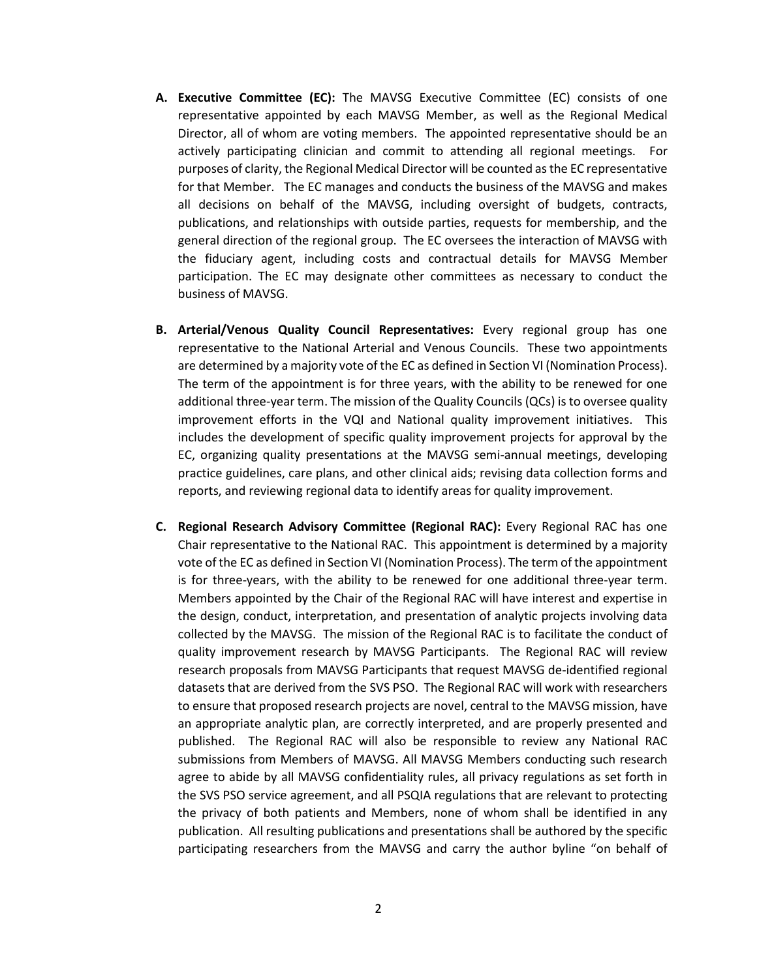- **A. Executive Committee (EC):** The MAVSG Executive Committee (EC) consists of one representative appointed by each MAVSG Member, as well as the Regional Medical Director, all of whom are voting members. The appointed representative should be an actively participating clinician and commit to attending all regional meetings. For purposes of clarity, the Regional Medical Director will be counted as the EC representative for that Member. The EC manages and conducts the business of the MAVSG and makes all decisions on behalf of the MAVSG, including oversight of budgets, contracts, publications, and relationships with outside parties, requests for membership, and the general direction of the regional group. The EC oversees the interaction of MAVSG with the fiduciary agent, including costs and contractual details for MAVSG Member participation. The EC may designate other committees as necessary to conduct the business of MAVSG.
- **B. Arterial/Venous Quality Council Representatives:** Every regional group has one representative to the National Arterial and Venous Councils. These two appointments are determined by a majority vote of the EC as defined in Section VI (Nomination Process). The term of the appointment is for three years, with the ability to be renewed for one additional three-year term. The mission of the Quality Councils (QCs) is to oversee quality improvement efforts in the VQI and National quality improvement initiatives. This includes the development of specific quality improvement projects for approval by the EC, organizing quality presentations at the MAVSG semi-annual meetings, developing practice guidelines, care plans, and other clinical aids; revising data collection forms and reports, and reviewing regional data to identify areas for quality improvement.
- **C. Regional Research Advisory Committee (Regional RAC):** Every Regional RAC has one Chair representative to the National RAC. This appointment is determined by a majority vote of the EC as defined in Section VI (Nomination Process). The term of the appointment is for three-years, with the ability to be renewed for one additional three-year term. Members appointed by the Chair of the Regional RAC will have interest and expertise in the design, conduct, interpretation, and presentation of analytic projects involving data collected by the MAVSG. The mission of the Regional RAC is to facilitate the conduct of quality improvement research by MAVSG Participants. The Regional RAC will review research proposals from MAVSG Participants that request MAVSG de-identified regional datasets that are derived from the SVS PSO. The Regional RAC will work with researchers to ensure that proposed research projects are novel, central to the MAVSG mission, have an appropriate analytic plan, are correctly interpreted, and are properly presented and published. The Regional RAC will also be responsible to review any National RAC submissions from Members of MAVSG. All MAVSG Members conducting such research agree to abide by all MAVSG confidentiality rules, all privacy regulations as set forth in the SVS PSO service agreement, and all PSQIA regulations that are relevant to protecting the privacy of both patients and Members, none of whom shall be identified in any publication. All resulting publications and presentations shall be authored by the specific participating researchers from the MAVSG and carry the author byline "on behalf of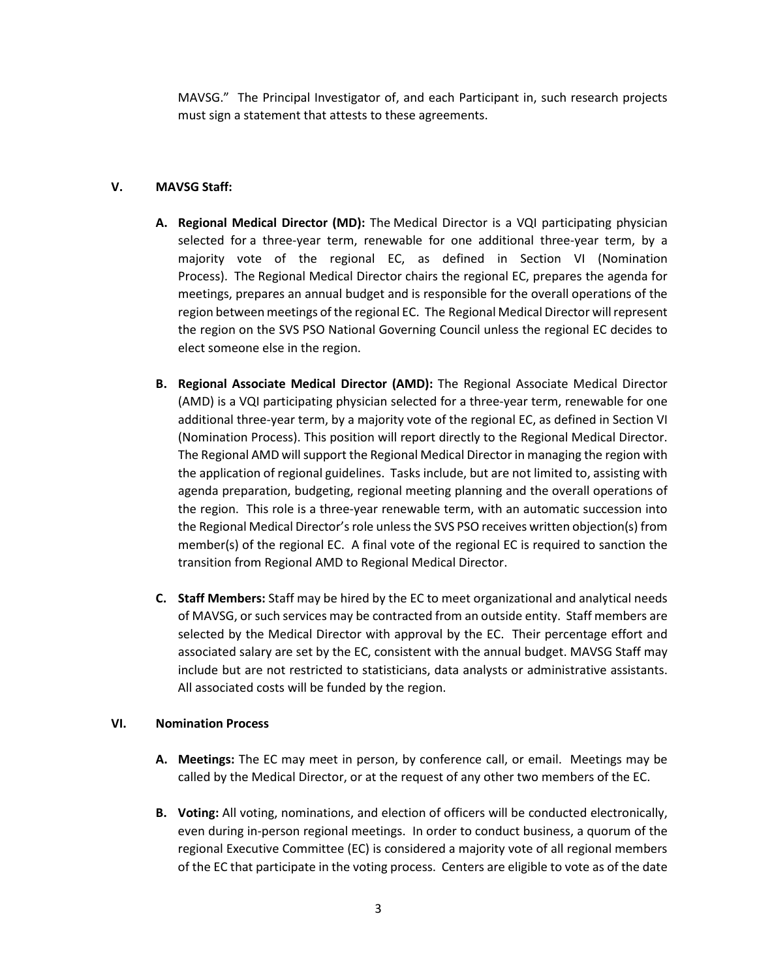MAVSG." The Principal Investigator of, and each Participant in, such research projects must sign a statement that attests to these agreements.

# **V. MAVSG Staff:**

- **A. Regional Medical Director (MD):** The Medical Director is a VQI participating physician selected for a three-year term, renewable for one additional three-year term, by a majority vote of the regional EC, as defined in Section VI (Nomination Process). The Regional Medical Director chairs the regional EC, prepares the agenda for meetings, prepares an annual budget and is responsible for the overall operations of the region between meetings of the regional EC. The Regional Medical Director will represent the region on the SVS PSO National Governing Council unless the regional EC decides to elect someone else in the region.
- **B. Regional Associate Medical Director (AMD):** The Regional Associate Medical Director (AMD) is a VQI participating physician selected for a three-year term, renewable for one additional three-year term, by a majority vote of the regional EC, as defined in Section VI (Nomination Process). This position will report directly to the Regional Medical Director. The Regional AMD will support the Regional Medical Director in managing the region with the application of regional guidelines. Tasks include, but are not limited to, assisting with agenda preparation, budgeting, regional meeting planning and the overall operations of the region. This role is a three-year renewable term, with an automatic succession into the Regional Medical Director's role unless the SVS PSO receives written objection(s) from member(s) of the regional EC. A final vote of the regional EC is required to sanction the transition from Regional AMD to Regional Medical Director.
- **C. Staff Members:** Staff may be hired by the EC to meet organizational and analytical needs of MAVSG, or such services may be contracted from an outside entity. Staff members are selected by the Medical Director with approval by the EC. Their percentage effort and associated salary are set by the EC, consistent with the annual budget. MAVSG Staff may include but are not restricted to statisticians, data analysts or administrative assistants. All associated costs will be funded by the region.

## **VI. Nomination Process**

- **A. Meetings:** The EC may meet in person, by conference call, or email. Meetings may be called by the Medical Director, or at the request of any other two members of the EC.
- **B. Voting:** All voting, nominations, and election of officers will be conducted electronically, even during in-person regional meetings. In order to conduct business, a quorum of the regional Executive Committee (EC) is considered a majority vote of all regional members of the EC that participate in the voting process. Centers are eligible to vote as of the date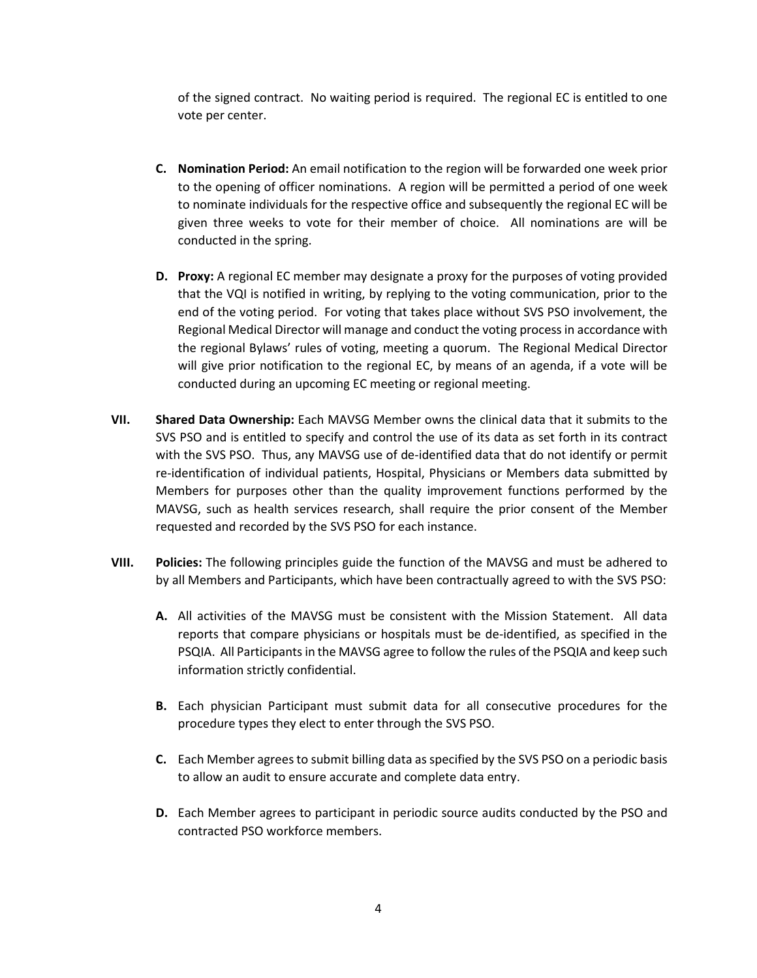of the signed contract. No waiting period is required. The regional EC is entitled to one vote per center.

- **C. Nomination Period:** An email notification to the region will be forwarded one week prior to the opening of officer nominations. A region will be permitted a period of one week to nominate individuals for the respective office and subsequently the regional EC will be given three weeks to vote for their member of choice. All nominations are will be conducted in the spring.
- **D. Proxy:** A regional EC member may designate a proxy for the purposes of voting provided that the VQI is notified in writing, by replying to the voting communication, prior to the end of the voting period. For voting that takes place without SVS PSO involvement, the Regional Medical Director will manage and conduct the voting process in accordance with the regional Bylaws' rules of voting, meeting a quorum. The Regional Medical Director will give prior notification to the regional EC, by means of an agenda, if a vote will be conducted during an upcoming EC meeting or regional meeting.
- **VII. Shared Data Ownership:** Each MAVSG Member owns the clinical data that it submits to the SVS PSO and is entitled to specify and control the use of its data as set forth in its contract with the SVS PSO. Thus, any MAVSG use of de-identified data that do not identify or permit re-identification of individual patients, Hospital, Physicians or Members data submitted by Members for purposes other than the quality improvement functions performed by the MAVSG, such as health services research, shall require the prior consent of the Member requested and recorded by the SVS PSO for each instance.
- **VIII. Policies:** The following principles guide the function of the MAVSG and must be adhered to by all Members and Participants, which have been contractually agreed to with the SVS PSO:
	- **A.** All activities of the MAVSG must be consistent with the Mission Statement. All data reports that compare physicians or hospitals must be de-identified, as specified in the PSQIA. All Participants in the MAVSG agree to follow the rules of the PSQIA and keep such information strictly confidential.
	- **B.** Each physician Participant must submit data for all consecutive procedures for the procedure types they elect to enter through the SVS PSO.
	- **C.** Each Member agrees to submit billing data as specified by the SVS PSO on a periodic basis to allow an audit to ensure accurate and complete data entry.
	- **D.** Each Member agrees to participant in periodic source audits conducted by the PSO and contracted PSO workforce members.